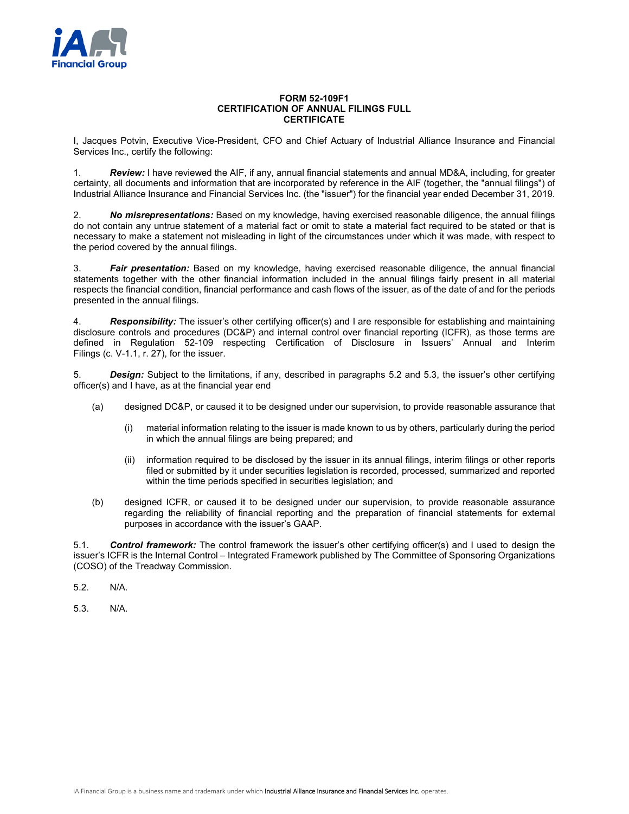

## **FORM 52-109F1 CERTIFICATION OF ANNUAL FILINGS FULL CERTIFICATE**

I, Jacques Potvin, Executive Vice-President, CFO and Chief Actuary of Industrial Alliance Insurance and Financial Services Inc., certify the following:

1. *Review:* I have reviewed the AIF, if any, annual financial statements and annual MD&A, including, for greater certainty, all documents and information that are incorporated by reference in the AIF (together, the "annual filings") of Industrial Alliance Insurance and Financial Services Inc. (the "issuer") for the financial year ended December 31, 2019.

2. *No misrepresentations:* Based on my knowledge, having exercised reasonable diligence, the annual filings do not contain any untrue statement of a material fact or omit to state a material fact required to be stated or that is necessary to make a statement not misleading in light of the circumstances under which it was made, with respect to the period covered by the annual filings.

3. *Fair presentation:* Based on my knowledge, having exercised reasonable diligence, the annual financial statements together with the other financial information included in the annual filings fairly present in all material respects the financial condition, financial performance and cash flows of the issuer, as of the date of and for the periods presented in the annual filings.

4. *Responsibility:* The issuer's other certifying officer(s) and I are responsible for establishing and maintaining disclosure controls and procedures (DC&P) and internal control over financial reporting (ICFR), as those terms are defined in Regulation 52-109 respecting Certification of Disclosure in Issuers' Annual and Interim Filings (c. V-1.1, r. 27), for the issuer.

5. *Design:* Subject to the limitations, if any, described in paragraphs 5.2 and 5.3, the issuer's other certifying officer(s) and I have, as at the financial year end

- (a) designed DC&P, or caused it to be designed under our supervision, to provide reasonable assurance that
	- (i) material information relating to the issuer is made known to us by others, particularly during the period in which the annual filings are being prepared; and
	- (ii) information required to be disclosed by the issuer in its annual filings, interim filings or other reports filed or submitted by it under securities legislation is recorded, processed, summarized and reported within the time periods specified in securities legislation; and
- (b) designed ICFR, or caused it to be designed under our supervision, to provide reasonable assurance regarding the reliability of financial reporting and the preparation of financial statements for external purposes in accordance with the issuer's GAAP.

5.1. *Control framework:* The control framework the issuer's other certifying officer(s) and I used to design the issuer's ICFR is the Internal Control – Integrated Framework published by The Committee of Sponsoring Organizations (COSO) of the Treadway Commission.

5.2. N/A.

5.3. N/A.